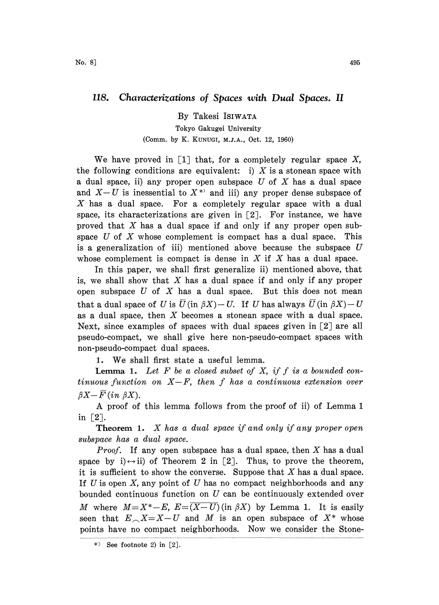## 118. Characterizations of Spaces with Dual Spaces. II

By Takesi ISIWATA Tokyo Gakugei University (Comm. by K. KUNUGI, M.J.A., Oct. 12, 1960)

We have proved in [1] that, for a completely regular space  $X$ , the following conditions are equivalent: i) X is a stonean space with a dual space, ii) any proper open subspace  $U$  of  $X$  has a dual space and  $X-U$  is inessential to  $X^*$  and iii) any proper dense subspace of X has a dual space. For a completely regular space with a dual space, its characterizations are given in  $\lceil 2 \rceil$ . For instance, we have proved that  $X$  has a dual space if and only if any proper open subspace  $U$  of  $X$  whose complement is compact has a dual space. This is a generalization of iii) mentioned above because the subspace  $U$ whose complement is compact is dense in  $X$  if  $X$  has a dual space.

In this paper, we shall first generalize ii) mentioned above, that is, we shall show that  $X$  has a dual space if and only if any proper open subspace  $U$  of  $X$  has a dual space. But this does not mean that a dual space of U is  $\overline{U}$  (in  $\beta X$ ) - U. If U has always  $\overline{U}$  (in  $\beta X$ ) - U as a dual space, then  $X$  becomes a stonean space with a dual space. Next, since examples of spaces with dual spaces given in  $\lceil 2 \rceil$  are all pseudo-compact, we shall give here non-pseudo-compact spaces with non-pseudo-compact dual spaces.

1. We shall first state a useful lemma.

**Lemma 1.** Let  $F$  be a closed subset of  $X$ , if  $f$  is a bounded continuous function on  $X-F$ , then f has a continuous extension over  $\beta X-\overline{F}$  (in  $\beta X$ ).

A proof of this lemma follows from the proof of ii) of Lemma <sup>1</sup> in  $\lceil 2 \rceil$ .

**Theorem 1.**  $X$  has a dual space if and only if any proper open subspace has a dual space.

*Proof.* If any open subspace has a dual space, then  $X$  has a dual space by i) $\leftrightarrow$ ii) of Theorem 2 in [2]. Thus, to prove the theorem, it is sufficient to show the converse. Suppose that  $X$  has a dual space. If  $U$  is open  $X$ , any point of  $U$  has no compact neighborhoods and any bounded continuous function on  $U$  can be continuously extended over M where  $M = X^* - E$ ,  $E = (X-U)(\text{in } \beta X)$  by Lemma 1. It is easily seen that  $E_{\sim}X=X-U$  and M is an open subspace of  $X^*$  whose points have no compact neighborhoods. Now we consider the Stone-

<sup>\*&</sup>gt; See footnote 2) in  $[2]$ .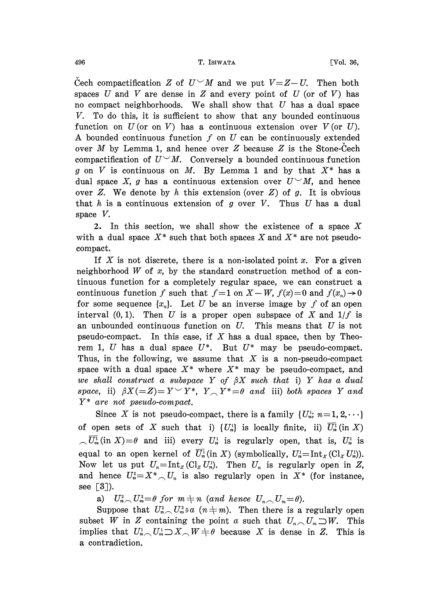Cech compactification Z of  $U^{\vee}M$  and we put  $V=Z-U$ . Then both spaces U and V are dense in Z and every point of U (or of V) has no compact neighborhoods. We shall show that  $U$  has a dual space V. To do this, it is sufficient to show that any bounded continuous function on  $U$  (or on  $V$ ) has a continuous extension over  $V$  (or  $U$ ). A bounded continuous function  $f$  on  $U$  can be continuously extended over  $M$  by Lemma 1, and hence over  $Z$  because  $Z$  is the Stone-Cech compactification of  $U^{\vee}M$ . Conversely a bounded continuous function g on V is continuous on M. By Lemma 1 and by that  $X^*$  has a dual space X, g has a continuous extension over  $U^{\vee}M$ , and hence over Z. We denote by h this extension (over  $Z$ ) of g. It is obvious that  $h$  is a continuous extension of  $g$  over  $V$ . Thus  $U$  has a dual space V.

2. In this section, we shall show the existence of a space  $X$ with a dual space  $X^*$  such that both spaces X and  $X^*$  are not pseudocompact.

If X is not discrete, there is a non-isolated point x. For a given neighborhood W of  $x$ , by the standard construction method of a continuous function for a completely regular space, we can construct a continuous function f such that  $f=1$  on  $X-W$ ,  $f(x)=0$  and  $f(x_n)\rightarrow 0$ for some sequence  $\{x_n\}$ . Let U be an inverse image by f of an open interval  $(0, 1)$ . Then U is a proper open subspace of X and  $1/f$  is an unbounded continuous function on  $U$ . This means that  $U$  is not pseudo-compact. In this case, if X has a dual space, then by Theorem 1, U has a dual space  $U^*$ . But  $U^*$  may be pseudo-compact. Thus, in the following, we assume that  $X$  is a non-pseudo-compact space with a dual space  $X^*$  where  $X^*$  may be pseudo-compact, and we shall construct a subspace Y of  $\beta X$  such that i) Y has a dual space, ii)  $\beta X (=Z) = Y \vee Y^*$ ,  $Y \wedge Y^* = \theta$  and iii) both spaces Y and Y\* are not pseudo-compact.

Since X is not pseudo-compact, there is a family  $\{U_n^1, n=1, 2, \dots\}$ of open sets of X such that i)  $\{U_n^1\}$  is locally finite, ii)  $\overline{U_n^1}$  (in X)  $\sqrt{U_m^1}$ (in X)= $\theta$  and iii) every  $U_n^1$  is regularly open, that is,  $U_n^1$  is equal to an open kernel of  $\overline{U}_n^1$  (in X) (symbolically,  $U_n^1 = \text{Int}_X(\text{Cl}_X U_n^1)$ ). Now let us put  $U_n = \text{Int}_Z(\text{Cl}_Z U_n^1)$ . Then  $U_n$  is regularly open in Z, and hence  $U_n^2 = X^* \cap U_n$  is also regularly open in  $X^*$  (for instance, see  $[3]$ ).

a)  $U_n^2 \sim U_m^2 = \theta$  for  $m \neq n$  (and hence  $U_n \sim U_m = \theta$ ).

Suppose that  $U_n^2 \cap U_m^2 \ni a$   $(n \neq m)$ . Then there is a regularly open subset W in Z containing the point a such that  $U_{n} \cap U_{m} \supset W$ . This implies that  $U_n^1 \cap U_m^1 \supset X \cap W \neq \emptyset$  because X is dense in Z. This is a contradiction.